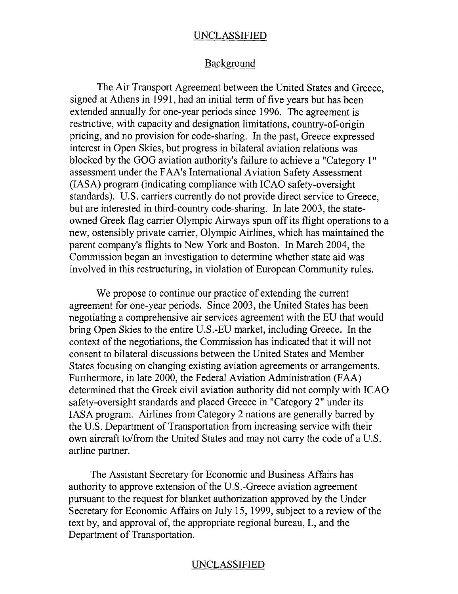## UNCLASSIFIED

## Background

The Air Transport Agreement between the United States and Greece, signed at Athens in 1991, had an initial term of five years but has been extended annually for one-year periods since 1996. The agreement is restrictive, with capacity and designation limitations, country-of-origin pricing, and no provision for code-sharing. In the past, Greece expressed interest in Open Skies, but progress in bilateral aviation relations was blocked by the GOG aviation authority's failure to achieve a "Category 1" assessment under the FAA's International Aviation Safety Assessment (IASA) program (indicating compliance with ICAO safety-oversight standards). U.S . carriers currently do not provide direct service to Greece, but are interested in third-country code-sharing. In late 2003, the stateowned Greek flag carrier Olympic Airways spun off its flight operations to a new, ostensibly private carrier, Olympic Airlines, which has maintained the parent company's flights to New York and Boston. In March 2004, the Commission began an investigation to determine whether state aid was involved in this restructuring, in violation of European Community rules.

We propose to continue our practice of extending the current agreement for one-year periods . Since 2003, the United States has been negotiating a comprehensive air services agreement with the EU that would bring Open Skies to the entire U .S .-EU market, including Greece . In the context of the negotiations, the Commission has indicated that it will not consent to bilateral discussions between the United States and Member States focusing on changing existing aviation agreements or arrangements . Furthermore, in late 2000, the Federal Aviation Administration (FAA) determined that the Greek civil aviation authority did not comply with ICAO safety-oversight standards and placed Greece in "Category 2" under its IASA program. Airlines from Category 2 nations are generally barred by the U.S . Department of Transportation from increasing service with their own aircraft to/from the United States and may not carry the code of a U.S. airline partner.

The Assistant Secretary for Economic and Business Affairs has authority to approve extension of the U .S .-Greece aviation agreement pursuant to the request for blanket authorization approved by the Under Secretary for Economic Affairs on July 15, 1999, subject to a review of the text by, and approval of, the appropriate regional bureau, L, and the Department of Transportation.

## UNCLASSIFIED